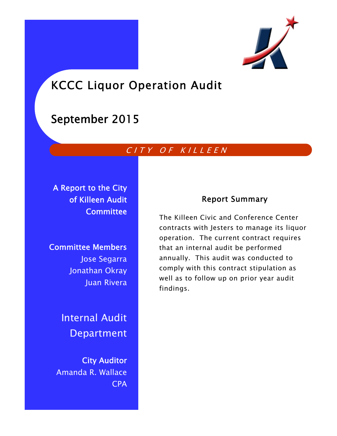

# KCCC Liquor Operation Audit

# September 2015

### CITY OF KILLEEN

A Report to the City of Killeen Audit **Committee** 

Committee Members Jose Segarra Jonathan Okray Juan Rivera

> Internal Audit Department

City Auditor Amanda R. Wallace CPA

### Report Summary

The Killeen Civic and Conference Center contracts with Jesters to manage its liquor operation. The current contract requires that an internal audit be performed annually. This audit was conducted to comply with this contract stipulation as well as to follow up on prior year audit findings.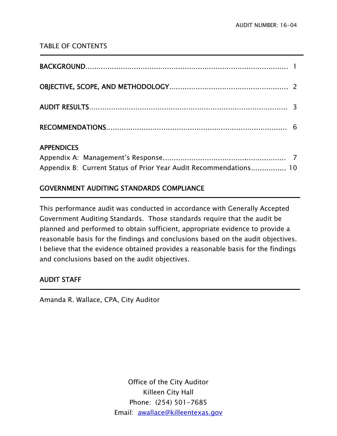### TABLE OF CONTENTS

### APPENDICES

Ī

**-**

| Appendix B: Current Status of Prior Year Audit Recommendations 10 |  |
|-------------------------------------------------------------------|--|

### GOVERNMENT AUDITING STANDARDS COMPLIANCE

This performance audit was conducted in accordance with Generally Accepted Government Auditing Standards. Those standards require that the audit be planned and performed to obtain sufficient, appropriate evidence to provide a reasonable basis for the findings and conclusions based on the audit objectives. I believe that the evidence obtained provides a reasonable basis for the findings and conclusions based on the audit objectives.

### AUDIT STAFF

Amanda R. Wallace, CPA, City Auditor

Office of the City Auditor Killeen City Hall Phone: (254) 501-7685 Email: awallace@killeentexas.gov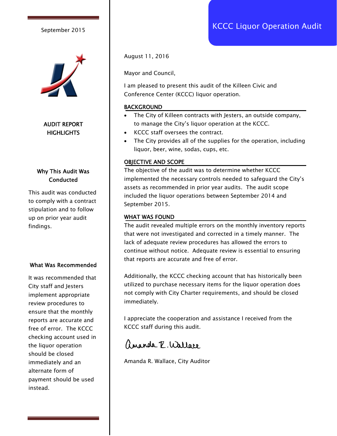

#### AUDIT REPORT **HIGHLIGHTS**

#### Why This Audit Was **Conducted**

This audit was conducted to comply with a contract stipulation and to follow up on prior year audit findings.

#### What Was Recommended

It was recommended that City staff and Jesters implement appropriate review procedures to ensure that the monthly reports are accurate and free of error. The KCCC checking account used in the liquor operation should be closed immediately and an alternate form of payment should be used instead.

August 11, 2016

Mayor and Council,

I am pleased to present this audit of the Killeen Civic and Conference Center (KCCC) liquor operation.

#### BACKGROUND

- The City of Killeen contracts with Jesters, an outside company, to manage the City's liquor operation at the KCCC.
- KCCC staff oversees the contract.
- The City provides all of the supplies for the operation, including liquor, beer, wine, sodas, cups, etc.

#### OBJECTIVE AND SCOPE

The objective of the audit was to determine whether KCCC implemented the necessary controls needed to safeguard the City's assets as recommended in prior year audits. The audit scope included the liquor operations between September 2014 and September 2015.

#### WHAT WAS FOUND

The audit revealed multiple errors on the monthly inventory reports that were not investigated and corrected in a timely manner. The lack of adequate review procedures has allowed the errors to continue without notice. Adequate review is essential to ensuring that reports are accurate and free of error.

Additionally, the KCCC checking account that has historically been utilized to purchase necessary items for the liquor operation does not comply with City Charter requirements, and should be closed immediately.

I appreciate the cooperation and assistance I received from the KCCC staff during this audit.

ananda Z. Wallace

Amanda R. Wallace, City Auditor

## September 2015 **September 2015** September 2015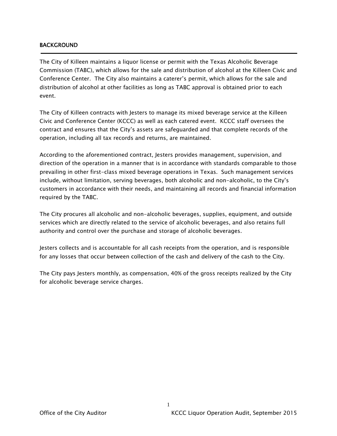#### **BACKGROUND**

j

The City of Killeen maintains a liquor license or permit with the Texas Alcoholic Beverage Commission (TABC), which allows for the sale and distribution of alcohol at the Killeen Civic and Conference Center. The City also maintains a caterer's permit, which allows for the sale and distribution of alcohol at other facilities as long as TABC approval is obtained prior to each event.

The City of Killeen contracts with Jesters to manage its mixed beverage service at the Killeen Civic and Conference Center (KCCC) as well as each catered event. KCCC staff oversees the contract and ensures that the City's assets are safeguarded and that complete records of the operation, including all tax records and returns, are maintained.

According to the aforementioned contract, Jesters provides management, supervision, and direction of the operation in a manner that is in accordance with standards comparable to those prevailing in other first-class mixed beverage operations in Texas. Such management services include, without limitation, serving beverages, both alcoholic and non-alcoholic, to the City's customers in accordance with their needs, and maintaining all records and financial information required by the TABC.

The City procures all alcoholic and non-alcoholic beverages, supplies, equipment, and outside services which are directly related to the service of alcoholic beverages, and also retains full authority and control over the purchase and storage of alcoholic beverages.

Jesters collects and is accountable for all cash receipts from the operation, and is responsible for any losses that occur between collection of the cash and delivery of the cash to the City.

The City pays Jesters monthly, as compensation, 40% of the gross receipts realized by the City for alcoholic beverage service charges.

1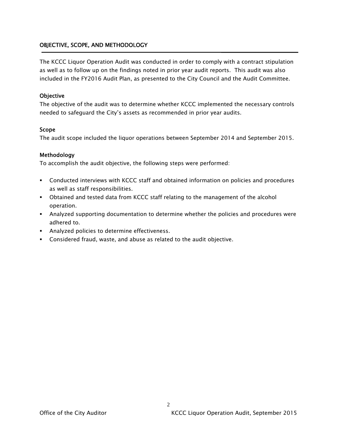#### OBJECTIVE, SCOPE, AND METHODOLOGY

The KCCC Liquor Operation Audit was conducted in order to comply with a contract stipulation as well as to follow up on the findings noted in prior year audit reports. This audit was also included in the FY2016 Audit Plan, as presented to the City Council and the Audit Committee.

#### **Objective**

The objective of the audit was to determine whether KCCC implemented the necessary controls needed to safeguard the City's assets as recommended in prior year audits.

#### Scope

The audit scope included the liquor operations between September 2014 and September 2015.

#### Methodology

To accomplish the audit objective, the following steps were performed:

- Conducted interviews with KCCC staff and obtained information on policies and procedures as well as staff responsibilities.
- Obtained and tested data from KCCC staff relating to the management of the alcohol operation.
- Analyzed supporting documentation to determine whether the policies and procedures were adhered to.
- **Analyzed policies to determine effectiveness.**
- Considered fraud, waste, and abuse as related to the audit objective.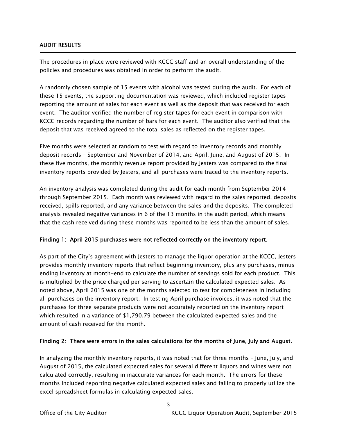#### AUDIT RESULTS

Ī

The procedures in place were reviewed with KCCC staff and an overall understanding of the policies and procedures was obtained in order to perform the audit.

A randomly chosen sample of 15 events with alcohol was tested during the audit. For each of these 15 events, the supporting documentation was reviewed, which included register tapes reporting the amount of sales for each event as well as the deposit that was received for each event. The auditor verified the number of register tapes for each event in comparison with KCCC records regarding the number of bars for each event. The auditor also verified that the deposit that was received agreed to the total sales as reflected on the register tapes.

Five months were selected at random to test with regard to inventory records and monthly deposit records – September and November of 2014, and April, June, and August of 2015. In these five months, the monthly revenue report provided by Jesters was compared to the final inventory reports provided by Jesters, and all purchases were traced to the inventory reports.

An inventory analysis was completed during the audit for each month from September 2014 through September 2015. Each month was reviewed with regard to the sales reported, deposits received, spills reported, and any variance between the sales and the deposits. The completed analysis revealed negative variances in 6 of the 13 months in the audit period, which means that the cash received during these months was reported to be less than the amount of sales.

#### Finding 1: April 2015 purchases were not reflected correctly on the inventory report.

As part of the City's agreement with Jesters to manage the liquor operation at the KCCC, Jesters provides monthly inventory reports that reflect beginning inventory, plus any purchases, minus ending inventory at month-end to calculate the number of servings sold for each product. This is multiplied by the price charged per serving to ascertain the calculated expected sales. As noted above, April 2015 was one of the months selected to test for completeness in including all purchases on the inventory report. In testing April purchase invoices, it was noted that the purchases for three separate products were not accurately reported on the inventory report which resulted in a variance of \$1,790.79 between the calculated expected sales and the amount of cash received for the month.

#### Finding 2: There were errors in the sales calculations for the months of June, July and August.

In analyzing the monthly inventory reports, it was noted that for three months – June, July, and August of 2015, the calculated expected sales for several different liquors and wines were not calculated correctly, resulting in inaccurate variances for each month. The errors for these months included reporting negative calculated expected sales and failing to properly utilize the excel spreadsheet formulas in calculating expected sales.

3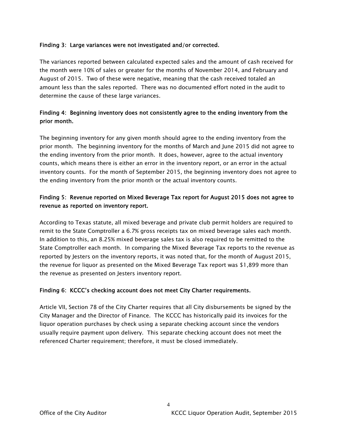#### Finding 3: Large variances were not investigated and/or corrected.

The variances reported between calculated expected sales and the amount of cash received for the month were 10% of sales or greater for the months of November 2014, and February and August of 2015. Two of these were negative, meaning that the cash received totaled an amount less than the sales reported. There was no documented effort noted in the audit to determine the cause of these large variances.

#### Finding 4: Beginning inventory does not consistently agree to the ending inventory from the prior month.

The beginning inventory for any given month should agree to the ending inventory from the prior month. The beginning inventory for the months of March and June 2015 did not agree to the ending inventory from the prior month. It does, however, agree to the actual inventory counts, which means there is either an error in the inventory report, or an error in the actual inventory counts. For the month of September 2015, the beginning inventory does not agree to the ending inventory from the prior month or the actual inventory counts.

#### Finding 5: Revenue reported on Mixed Beverage Tax report for August 2015 does not agree to revenue as reported on inventory report.

According to Texas statute, all mixed beverage and private club permit holders are required to remit to the State Comptroller a 6.7% gross receipts tax on mixed beverage sales each month. In addition to this, an 8.25% mixed beverage sales tax is also required to be remitted to the State Comptroller each month. In comparing the Mixed Beverage Tax reports to the revenue as reported by Jesters on the inventory reports, it was noted that, for the month of August 2015, the revenue for liquor as presented on the Mixed Beverage Tax report was \$1,899 more than the revenue as presented on Jesters inventory report.

#### Finding 6: KCCC's checking account does not meet City Charter requirements.

Article VII, Section 78 of the City Charter requires that all City disbursements be signed by the City Manager and the Director of Finance. The KCCC has historically paid its invoices for the liquor operation purchases by check using a separate checking account since the vendors usually require payment upon delivery. This separate checking account does not meet the referenced Charter requirement; therefore, it must be closed immediately.

4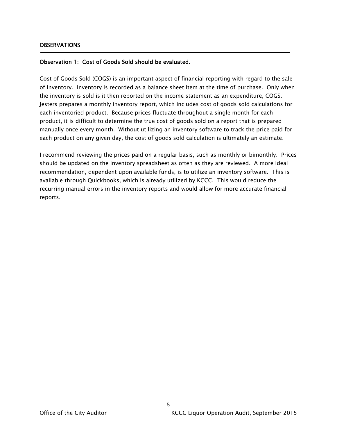#### Observation 1: Cost of Goods Sold should be evaluated.

Cost of Goods Sold (COGS) is an important aspect of financial reporting with regard to the sale of inventory. Inventory is recorded as a balance sheet item at the time of purchase. Only when the inventory is sold is it then reported on the income statement as an expenditure, COGS. Jesters prepares a monthly inventory report, which includes cost of goods sold calculations for each inventoried product. Because prices fluctuate throughout a single month for each product, it is difficult to determine the true cost of goods sold on a report that is prepared manually once every month. Without utilizing an inventory software to track the price paid for each product on any given day, the cost of goods sold calculation is ultimately an estimate.

I recommend reviewing the prices paid on a regular basis, such as monthly or bimonthly. Prices should be updated on the inventory spreadsheet as often as they are reviewed. A more ideal recommendation, dependent upon available funds, is to utilize an inventory software. This is available through Quickbooks, which is already utilized by KCCC. This would reduce the recurring manual errors in the inventory reports and would allow for more accurate financial reports.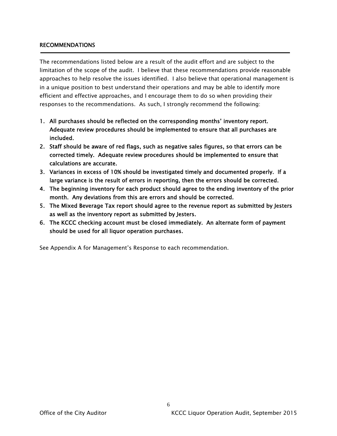#### RECOMMENDATIONS

The recommendations listed below are a result of the audit effort and are subject to the limitation of the scope of the audit. I believe that these recommendations provide reasonable approaches to help resolve the issues identified. I also believe that operational management is in a unique position to best understand their operations and may be able to identify more efficient and effective approaches, and I encourage them to do so when providing their responses to the recommendations. As such, I strongly recommend the following:

- 1. All purchases should be reflected on the corresponding months' inventory report. Adequate review procedures should be implemented to ensure that all purchases are included.
- 2. Staff should be aware of red flags, such as negative sales figures, so that errors can be corrected timely. Adequate review procedures should be implemented to ensure that calculations are accurate.
- 3. Variances in excess of 10% should be investigated timely and documented properly. If a large variance is the result of errors in reporting, then the errors should be corrected.
- 4. The beginning inventory for each product should agree to the ending inventory of the prior month. Any deviations from this are errors and should be corrected.
- 5. The Mixed Beverage Tax report should agree to the revenue report as submitted by Jesters as well as the inventory report as submitted by Jesters.
- 6. The KCCC checking account must be closed immediately. An alternate form of payment should be used for all liquor operation purchases.

6

See Appendix A for Management's Response to each recommendation.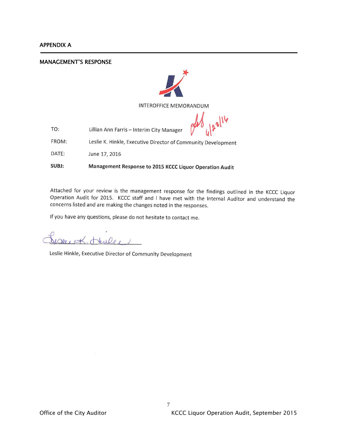j

#### MANAGEMENT'S RESPONSE



**INTEROFFICE MEMORANDUM** 

Lillian Ann Farris - Interim City Manager TO:

FROM: Leslie K. Hinkle, Executive Director of Community Development

DATE: June 17, 2016

SUBJ: Management Response to 2015 KCCC Liquor Operation Audit

Attached for your review is the management response for the findings outlined in the KCCC Liquor Operation Audit for 2015. KCCC staff and I have met with the Internal Auditor and understand the concerns listed and are making the changes noted in the responses.

If you have any questions, please do not hesitate to contact me.

Decert-Heulee 1

Leslie Hinkle, Executive Director of Community Development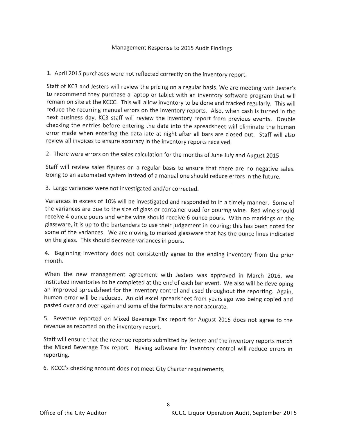1. April 2015 purchases were not reflected correctly on the inventory report.

Staff of KC3 and Jesters will review the pricing on a regular basis. We are meeting with Jester's to recommend they purchase a laptop or tablet with an inventory software program that will remain on site at the KCCC. This will allow inventory to be done and tracked regularly. This will reduce the recurring manual errors on the inventory reports. Also, when cash is turned in the next business day, KC3 staff will review the inventory report from previous events. Double checking the entries before entering the data into the spreadsheet will eliminate the human error made when entering the data late at night after all bars are closed out. Staff will also review all invoices to ensure accuracy in the inventory reports received.

2. There were errors on the sales calculation for the months of June July and August 2015

Staff will review sales figures on a regular basis to ensure that there are no negative sales. Going to an automated system instead of a manual one should reduce errors in the future.

3. Large variances were not investigated and/or corrected.

Variances in excess of 10% will be investigated and responded to in a timely manner. Some of the variances are due to the size of glass or container used for pouring wine. Red wine should receive 4 ounce pours and white wine should receive 6 ounce pours. With no markings on the glassware, it is up to the bartenders to use their judgement in pouring; this has been noted for some of the variances. We are moving to marked glassware that has the ounce lines indicated on the glass. This should decrease variances in pours.

4. Beginning inventory does not consistently agree to the ending inventory from the prior month.

When the new management agreement with Jesters was approved in March 2016, we instituted inventories to be completed at the end of each bar event. We also will be developing an improved spreadsheet for the inventory control and used throughout the reporting. Again, human error will be reduced. An old excel spreadsheet from years ago was being copied and pasted over and over again and some of the formulas are not accurate.

5. Revenue reported on Mixed Beverage Tax report for August 2015 does not agree to the revenue as reported on the inventory report.

Staff will ensure that the revenue reports submitted by Jesters and the inventory reports match the Mixed Beverage Tax report. Having software for inventory control will reduce errors in reporting.

6. KCCC's checking account does not meet City Charter requirements.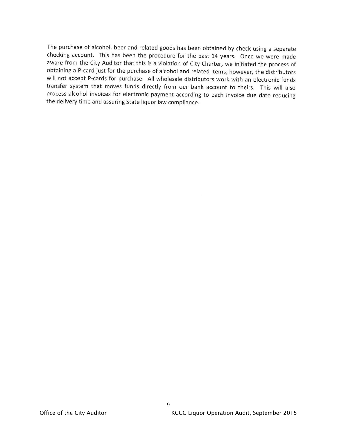The purchase of alcohol, beer and related goods has been obtained by check using a separate checking account. This has been the procedure for the past 14 years. Once we were made aware from the City Auditor that this is a violation of City Charter, we initiated the process of obtaining a P-card just for the purchase of alcohol and related items; however, the distributors will not accept P-cards for purchase. All wholesale distributors work with an electronic funds transfer system that moves funds directly from our bank account to theirs. This will also process alcohol invoices for electronic payment according to each invoice due date reducing the delivery time and assuring State liquor law compliance.